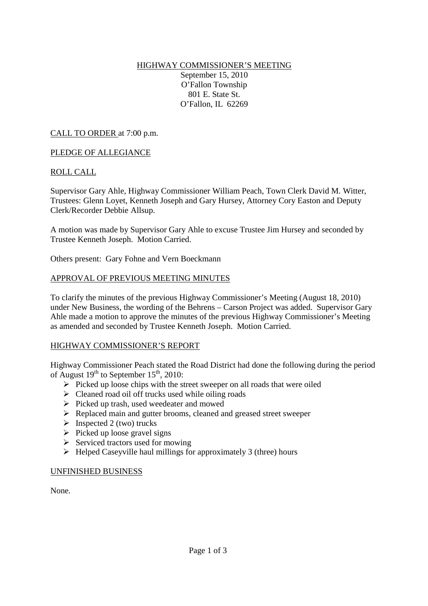## HIGHWAY COMMISSIONER'S MEETING September 15, 2010 O'Fallon Township 801 E. State St. O'Fallon, IL 62269

CALL TO ORDER at 7:00 p.m.

### PLEDGE OF ALLEGIANCE

### ROLL CALL

Supervisor Gary Ahle, Highway Commissioner William Peach, Town Clerk David M. Witter, Trustees: Glenn Loyet, Kenneth Joseph and Gary Hursey, Attorney Cory Easton and Deputy Clerk/Recorder Debbie Allsup.

A motion was made by Supervisor Gary Ahle to excuse Trustee Jim Hursey and seconded by Trustee Kenneth Joseph. Motion Carried.

Others present: Gary Fohne and Vern Boeckmann

#### APPROVAL OF PREVIOUS MEETING MINUTES

To clarify the minutes of the previous Highway Commissioner's Meeting (August 18, 2010) under New Business, the wording of the Behrens – Carson Project was added. Supervisor Gary Ahle made a motion to approve the minutes of the previous Highway Commissioner's Meeting as amended and seconded by Trustee Kenneth Joseph. Motion Carried.

#### HIGHWAY COMMISSIONER'S REPORT

Highway Commissioner Peach stated the Road District had done the following during the period of August  $19^{th}$  to September  $15^{th}$ , 2010:

- $\triangleright$  Picked up loose chips with the street sweeper on all roads that were oiled
- $\triangleright$  Cleaned road oil off trucks used while oiling roads
- $\triangleright$  Picked up trash, used weedeater and mowed
- ▶ Replaced main and gutter brooms, cleaned and greased street sweeper
- $\triangleright$  Inspected 2 (two) trucks
- $\triangleright$  Picked up loose gravel signs
- $\triangleright$  Serviced tractors used for mowing
- $\triangleright$  Helped Caseyville haul millings for approximately 3 (three) hours

#### UNFINISHED BUSINESS

None.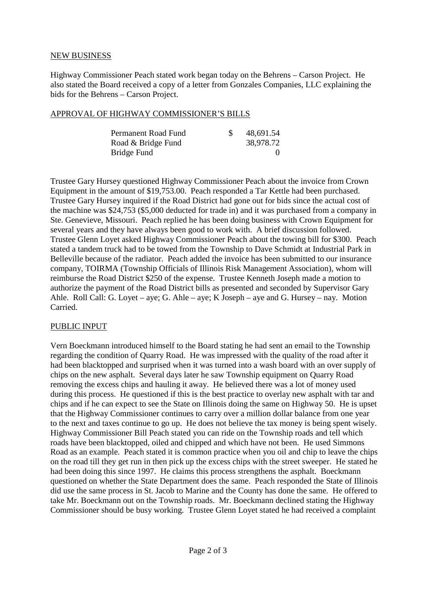### NEW BUSINESS

Highway Commissioner Peach stated work began today on the Behrens – Carson Project. He also stated the Board received a copy of a letter from Gonzales Companies, LLC explaining the bids for the Behrens – Carson Project.

## APPROVAL OF HIGHWAY COMMISSIONER'S BILLS

| Permanent Road Fund | 48,691.54 |
|---------------------|-----------|
| Road & Bridge Fund  | 38,978.72 |
| Bridge Fund         |           |

Trustee Gary Hursey questioned Highway Commissioner Peach about the invoice from Crown Equipment in the amount of \$19,753.00. Peach responded a Tar Kettle had been purchased. Trustee Gary Hursey inquired if the Road District had gone out for bids since the actual cost of the machine was \$24,753 (\$5,000 deducted for trade in) and it was purchased from a company in Ste. Genevieve, Missouri. Peach replied he has been doing business with Crown Equipment for several years and they have always been good to work with. A brief discussion followed. Trustee Glenn Loyet asked Highway Commissioner Peach about the towing bill for \$300. Peach stated a tandem truck had to be towed from the Township to Dave Schmidt at Industrial Park in Belleville because of the radiator. Peach added the invoice has been submitted to our insurance company, TOIRMA (Township Officials of Illinois Risk Management Association), whom will reimburse the Road District \$250 of the expense. Trustee Kenneth Joseph made a motion to authorize the payment of the Road District bills as presented and seconded by Supervisor Gary Ahle. Roll Call: G. Loyet – aye; G. Ahle – aye; K Joseph – aye and G. Hursey – nay. Motion Carried.

## PUBLIC INPUT

Vern Boeckmann introduced himself to the Board stating he had sent an email to the Township regarding the condition of Quarry Road. He was impressed with the quality of the road after it had been blacktopped and surprised when it was turned into a wash board with an over supply of chips on the new asphalt. Several days later he saw Township equipment on Quarry Road removing the excess chips and hauling it away. He believed there was a lot of money used during this process. He questioned if this is the best practice to overlay new asphalt with tar and chips and if he can expect to see the State on Illinois doing the same on Highway 50. He is upset that the Highway Commissioner continues to carry over a million dollar balance from one year to the next and taxes continue to go up. He does not believe the tax money is being spent wisely. Highway Commissioner Bill Peach stated you can ride on the Township roads and tell which roads have been blacktopped, oiled and chipped and which have not been. He used Simmons Road as an example. Peach stated it is common practice when you oil and chip to leave the chips on the road till they get run in then pick up the excess chips with the street sweeper. He stated he had been doing this since 1997. He claims this process strengthens the asphalt. Boeckmann questioned on whether the State Department does the same. Peach responded the State of Illinois did use the same process in St. Jacob to Marine and the County has done the same. He offered to take Mr. Boeckmann out on the Township roads. Mr. Boeckmann declined stating the Highway Commissioner should be busy working. Trustee Glenn Loyet stated he had received a complaint